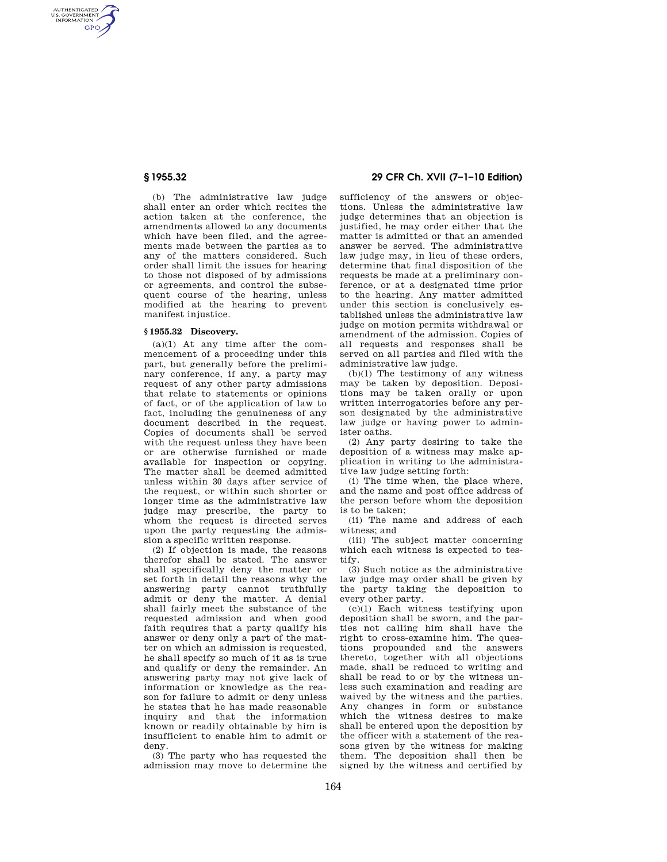AUTHENTICATED<br>U.S. GOVERNMENT<br>INFORMATION **GPO** 

> (b) The administrative law judge shall enter an order which recites the action taken at the conference, the amendments allowed to any documents which have been filed, and the agreements made between the parties as to any of the matters considered. Such order shall limit the issues for hearing to those not disposed of by admissions or agreements, and control the subsequent course of the hearing, unless modified at the hearing to prevent manifest injustice.

### **§ 1955.32 Discovery.**

 $(a)(1)$  At any time after the commencement of a proceeding under this part, but generally before the preliminary conference, if any, a party may request of any other party admissions that relate to statements or opinions of fact, or of the application of law to fact, including the genuineness of any document described in the request. Copies of documents shall be served with the request unless they have been or are otherwise furnished or made available for inspection or copying. The matter shall be deemed admitted unless within 30 days after service of the request, or within such shorter or longer time as the administrative law judge may prescribe, the party to whom the request is directed serves upon the party requesting the admission a specific written response.

(2) If objection is made, the reasons therefor shall be stated. The answer shall specifically deny the matter or set forth in detail the reasons why the answering party cannot truthfully admit or deny the matter. A denial shall fairly meet the substance of the requested admission and when good faith requires that a party qualify his answer or deny only a part of the matter on which an admission is requested, he shall specify so much of it as is true and qualify or deny the remainder. An answering party may not give lack of information or knowledge as the reason for failure to admit or deny unless he states that he has made reasonable inquiry and that the information known or readily obtainable by him is insufficient to enable him to admit or deny.

(3) The party who has requested the admission may move to determine the

# **§ 1955.32 29 CFR Ch. XVII (7–1–10 Edition)**

sufficiency of the answers or objections. Unless the administrative law judge determines that an objection is justified, he may order either that the matter is admitted or that an amended answer be served. The administrative law judge may, in lieu of these orders, determine that final disposition of the requests be made at a preliminary conference, or at a designated time prior to the hearing. Any matter admitted under this section is conclusively established unless the administrative law judge on motion permits withdrawal or amendment of the admission. Copies of all requests and responses shall be served on all parties and filed with the administrative law judge.

(b)(1) The testimony of any witness may be taken by deposition. Depositions may be taken orally or upon written interrogatories before any person designated by the administrative law judge or having power to administer oaths.

(2) Any party desiring to take the deposition of a witness may make application in writing to the administrative law judge setting forth:

(i) The time when, the place where, and the name and post office address of the person before whom the deposition is to be taken;

(ii) The name and address of each witness; and

(iii) The subject matter concerning which each witness is expected to testify.

(3) Such notice as the administrative law judge may order shall be given by the party taking the deposition to every other party.

(c)(1) Each witness testifying upon deposition shall be sworn, and the parties not calling him shall have the right to cross-examine him. The questions propounded and the answers thereto, together with all objections made, shall be reduced to writing and shall be read to or by the witness unless such examination and reading are waived by the witness and the parties. Any changes in form or substance which the witness desires to make shall be entered upon the deposition by the officer with a statement of the reasons given by the witness for making them. The deposition shall then be signed by the witness and certified by